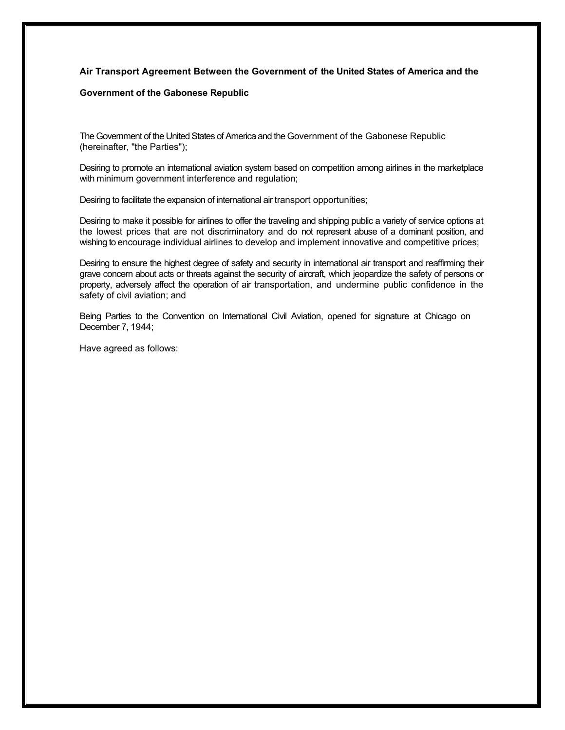### **Air Transport Agreement Between the Government of the United States of America and the**

#### **Government of the Gabonese Republic**

The Government of the United States of America and the Government of the Gabonese Republic (hereinafter, "the Parties");

Desiring to promote an international aviation system based on competition among airlines in the marketplace with minimum government interference and regulation;

Desiring to facilitate the expansion of international air transport opportunities;

Desiring to make it possible for airlines to offer the traveling and shipping public a variety of service options at the lowest prices that are not discriminatory and do not represent abuse of a dominant position, and wishing to encourage individual airlines to develop and implement innovative and competitive prices;

Desiring to ensure the highest degree of safety and security in international air transport and reaffirming their grave concern about acts or threats against the security of aircraft, which jeopardize the safety of persons or property, adversely affect the operation of air transportation, and undermine public confidence in the safety of civil aviation; and

Being Parties to the Convention on International Civil Aviation, opened for signature at Chicago on December 7, 1944;

Have agreed as follows: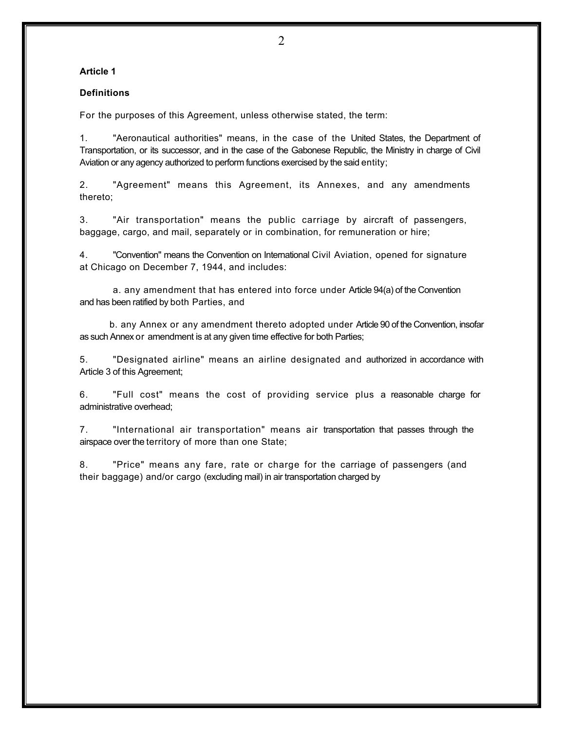## **Definitions**

For the purposes of this Agreement, unless otherwise stated, the term:

1. "Aeronautical authorities" means, in the case of the United States, the Department of Transportation, or its successor, and in the case of the Gabonese Republic, the Ministry in charge of Civil Aviation or any agency authorized to perform functions exercised by the said entity;

2. "Agreement" means this Agreement, its Annexes, and any amendments thereto;

3. "Air transportation" means the public carriage by aircraft of passengers, baggage, cargo, and mail, separately or in combination, for remuneration or hire;

4. "Convention" means the Convention on International Civil Aviation, opened for signature at Chicago on December 7, 1944, and includes:

a. any amendment that has entered into force under Article 94(a) of the Convention and has been ratified by both Parties, and

b. any Annex or any amendment thereto adopted under Article 90 of the Convention, insofar as such Annex or amendment is at any given time effective for both Parties;

5. "Designated airline" means an airline designated and authorized in accordance with Article 3 of this Agreement;

6. "Full cost" means the cost of providing service plus a reasonable charge for administrative overhead;

7. "International air transportation" means air transportation that passes through the airspace over the territory of more than one State;

8. "Price" means any fare, rate or charge for the carriage of passengers (and their baggage) and/or cargo (excluding mail) in air transportation charged by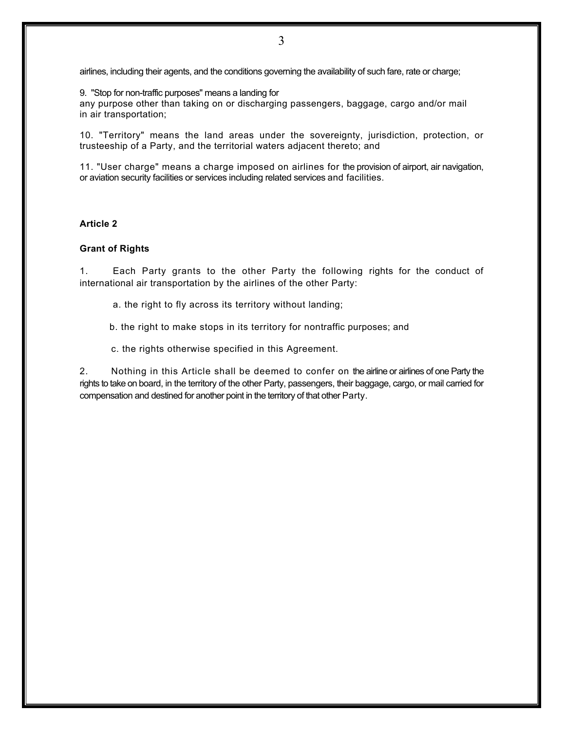airlines, including their agents, and the conditions governing the availability of such fare, rate or charge;

9. "Stop for non-traffic purposes" means a landing for any purpose other than taking on or discharging passengers, baggage, cargo and/or mail in air transportation;

10. "Territory" means the land areas under the sovereignty, jurisdiction, protection, or trusteeship of a Party, and the territorial waters adjacent thereto; and

11. "User charge" means a charge imposed on airlines for the provision of airport, air navigation, or aviation security facilities or services including related services and facilities.

# **Article 2**

#### **Grant of Rights**

1. Each Party grants to the other Party the following rights for the conduct of international air transportation by the airlines of the other Party:

a. the right to fly across its territory without landing;

b. the right to make stops in its territory for nontraffic purposes; and

c. the rights otherwise specified in this Agreement.

2. Nothing in this Article shall be deemed to confer on the airline or airlines of one Party the rights to take on board, in the territory of the other Party, passengers, their baggage, cargo, or mail carried for compensation and destined for another point in the territory of that other Party.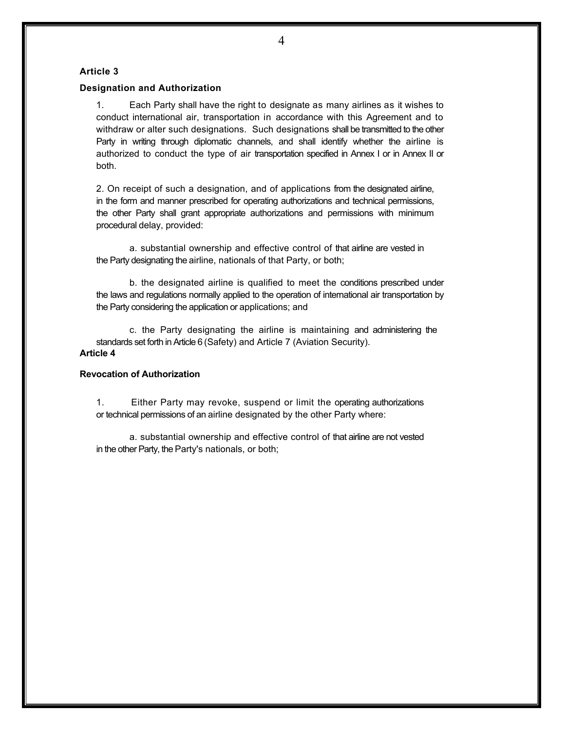### **Designation and Authorization**

1. Each Party shall have the right to designate as many airlines as it wishes to conduct international air, transportation in accordance with this Agreement and to withdraw or alter such designations. Such designations shall be transmitted to the other Party in writing through diplomatic channels, and shall identify whether the airline is authorized to conduct the type of air transportation specified in Annex I or in Annex II or both.

2. On receipt of such a designation, and of applications from the designated airline, in the form and manner prescribed for operating authorizations and technical permissions, the other Party shall grant appropriate authorizations and permissions with minimum procedural delay, provided:

a. substantial ownership and effective control of that airline are vested in the Party designating the airline, nationals of that Party, or both;

b. the designated airline is qualified to meet the conditions prescribed under the laws and regulations normally applied to the operation of international air transportation by the Party considering the application or applications; and

c. the Party designating the airline is maintaining and administering the standards set forth in Article 6 (Safety) and Article 7 (Aviation Security). **Article 4** 

### **Revocation of Authorization**

1. Either Party may revoke, suspend or limit the operating authorizations or technical permissions of an airline designated by the other Party where:

a. substantial ownership and effective control of that airline are not vested in the other Party, the Party's nationals, or both;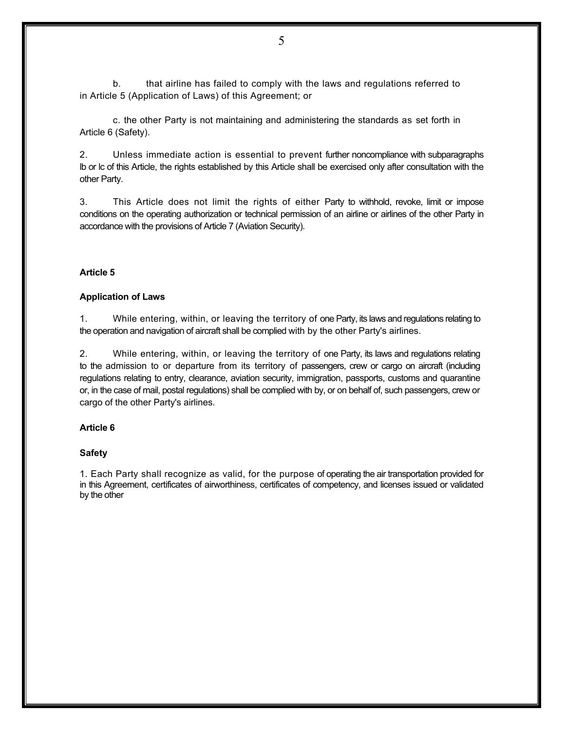b. that airline has failed to comply with the laws and regulations referred to in Article 5 (Application of Laws) of this Agreement; or

c. the other Party is not maintaining and administering the standards as set forth in Article 6 (Safety).

2. Unless immediate action is essential to prevent further noncompliance with subparagraphs lb or lc of this Article, the rights established by this Article shall be exercised only after consultation with the other Party.

3. This Article does not limit the rights of either Party to withhold, revoke, limit or impose conditions on the operating authorization or technical permission of an airline or airlines of the other Party in accordance with the provisions of Article 7 (Aviation Security).

#### **Article 5**

#### **Application of Laws**

1. While entering, within, or leaving the territory of one Party, its laws and regulations relating to the operation and navigation of aircraft shall be complied with by the other Party's airlines.

2. While entering, within, or leaving the territory of one Party, its laws and regulations relating to the admission to or departure from its territory of passengers, crew or cargo on aircraft (including regulations relating to entry, clearance, aviation security, immigration, passports, customs and quarantine or, in the case of mail, postal regulations) shall be complied with by, or on behalf of, such passengers, crew or cargo of the other Party's airlines.

#### **Article 6**

#### **Safety**

1. Each Party shall recognize as valid, for the purpose of operating the air transportation provided for in this Agreement, certificates of airworthiness, certificates of competency, and licenses issued or validated by the other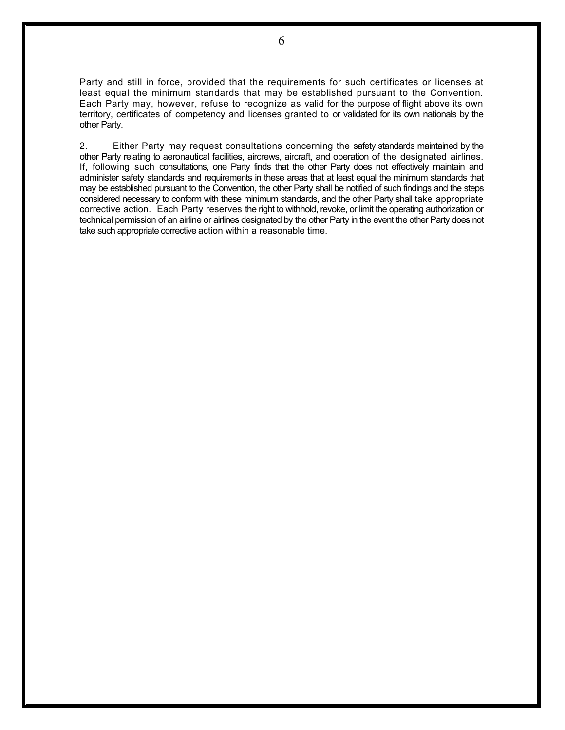Party and still in force, provided that the requirements for such certificates or licenses at least equal the minimum standards that may be established pursuant to the Convention. Each Party may, however, refuse to recognize as valid for the purpose of flight above its own territory, certificates of competency and licenses granted to or validated for its own nationals by the other Party.

2. Either Party may request consultations concerning the safety standards maintained by the other Party relating to aeronautical facilities, aircrews, aircraft, and operation of the designated airlines. If, following such consultations, one Party finds that the other Party does not effectively maintain and administer safety standards and requirements in these areas that at least equal the minimum standards that may be established pursuant to the Convention, the other Party shall be notified of such findings and the steps considered necessary to conform with these minimum standards, and the other Party shall take appropriate corrective action. Each Party reserves the right to withhold, revoke, or limit the operating authorization or technical permission of an airline or airlines designated by the other Party in the event the other Party does not take such appropriate corrective action within a reasonable time.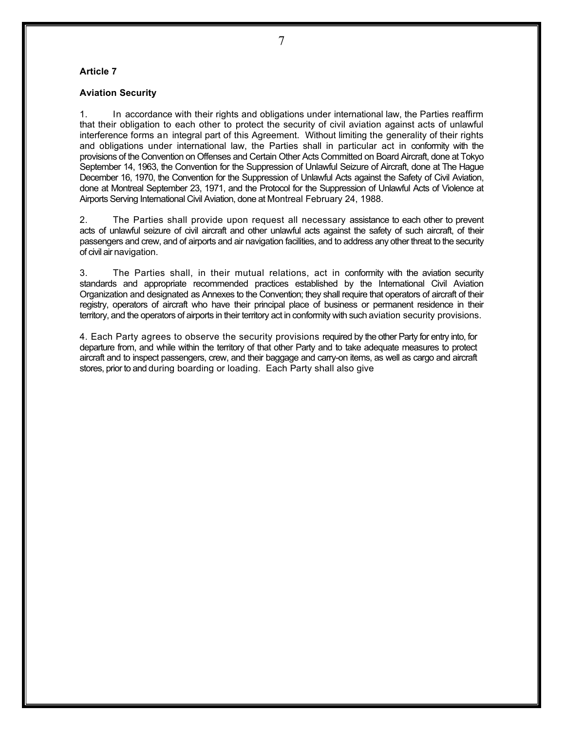### **Aviation Security**

1. In accordance with their rights and obligations under international law, the Parties reaffirm that their obligation to each other to protect the security of civil aviation against acts of unlawful interference forms an integral part of this Agreement. Without limiting the generality of their rights and obligations under international law, the Parties shall in particular act in conformity with the provisions of the Convention on Offenses and Certain Other Acts Committed on Board Aircraft, done at Tokyo September 14, 1963, the Convention for the Suppression of Unlawful Seizure of Aircraft, done at The Hague December 16, 1970, the Convention for the Suppression of Unlawful Acts against the Safety of Civil Aviation, done at Montreal September 23, 1971, and the Protocol for the Suppression of Unlawful Acts of Violence at Airports Serving International Civil Aviation, done at Montreal February 24, 1988.

2. The Parties shall provide upon request all necessary assistance to each other to prevent acts of unlawful seizure of civil aircraft and other unlawful acts against the safety of such aircraft, of their passengers and crew, and of airports and air navigation facilities, and to address any other threat to the security of civil air navigation.

3. The Parties shall, in their mutual relations, act in conformity with the aviation security standards and appropriate recommended practices established by the International Civil Aviation Organization and designated as Annexes to the Convention; they shall require that operators of aircraft of their registry, operators of aircraft who have their principal place of business or permanent residence in their territory, and the operators of airports in their territory act in conformity with such aviation security provisions.

4. Each Party agrees to observe the security provisions required by the other Party for entry into, for departure from, and while within the territory of that other Party and to take adequate measures to protect aircraft and to inspect passengers, crew, and their baggage and carry-on items, as well as cargo and aircraft stores, prior to and during boarding or loading. Each Party shall also give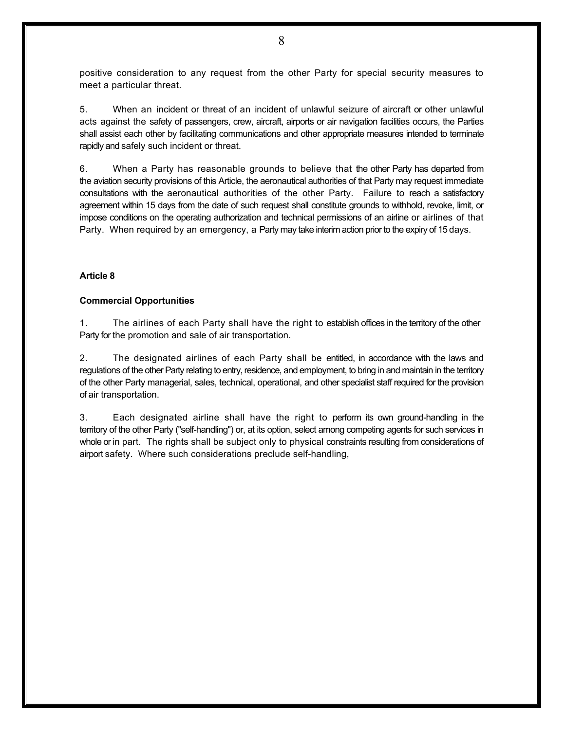positive consideration to any request from the other Party for special security measures to meet a particular threat.

5. When an incident or threat of an incident of unlawful seizure of aircraft or other unlawful acts against the safety of passengers, crew, aircraft, airports or air navigation facilities occurs, the Parties shall assist each other by facilitating communications and other appropriate measures intended to terminate rapidly and safely such incident or threat.

6. When a Party has reasonable grounds to believe that the other Party has departed from the aviation security provisions of this Article, the aeronautical authorities of that Party may request immediate consultations with the aeronautical authorities of the other Party. Failure to reach a satisfactory agreement within 15 days from the date of such request shall constitute grounds to withhold, revoke, limit, or impose conditions on the operating authorization and technical permissions of an airline or airlines of that Party. When required by an emergency, a Party may take interim action prior to the expiry of 15 days.

## **Article 8**

### **Commercial Opportunities**

1. The airlines of each Party shall have the right to establish offices in the territory of the other Party for the promotion and sale of air transportation.

2. The designated airlines of each Party shall be entitled, in accordance with the laws and regulations of the other Party relating to entry, residence, and employment, to bring in and maintain in the territory of the other Party managerial, sales, technical, operational, and other specialist staff required for the provision of air transportation.

3. Each designated airline shall have the right to perform its own ground-handling in the territory of the other Party ("self-handling") or, at its option, select among competing agents for such services in whole or in part. The rights shall be subject only to physical constraints resulting from considerations of airport safety. Where such considerations preclude self-handling,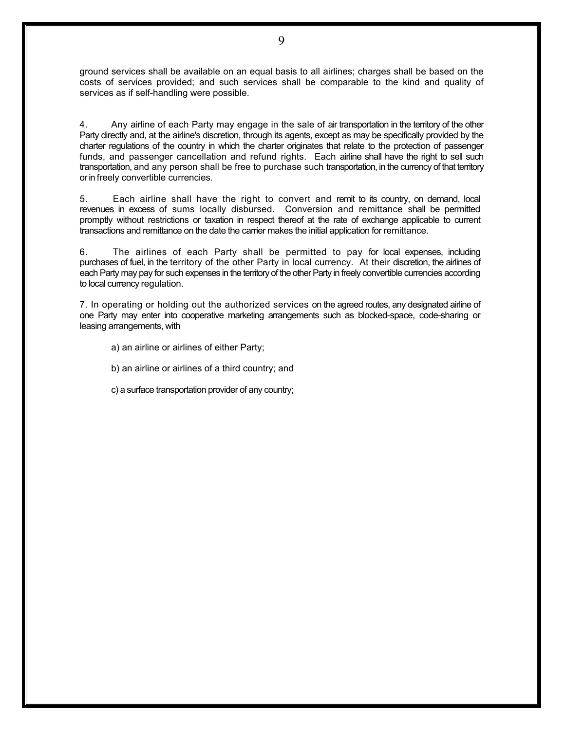ground services shall be available on an equal basis to all airlines; charges shall be based on the costs of services provided; and such services shall be comparable to the kind and quality of services as if self-handling were possible.

4. Any airline of each Party may engage in the sale of air transportation in the territory of the other Party directly and, at the airline's discretion, through its agents, except as may be specifically provided by the charter regulations of the country in which the charter originates that relate to the protection of passenger funds, and passenger cancellation and refund rights. Each airline shall have the right to sell such transportation, and any person shall be free to purchase such transportation, in the currency of that territory or in freely convertible currencies.

5. Each airline shall have the right to convert and remit to its country, on demand, local revenues in excess of sums locally disbursed. Conversion and remittance shall be permitted promptly without restrictions or taxation in respect thereof at the rate of exchange applicable to current transactions and remittance on the date the carrier makes the initial application for remittance.

6. The airlines of each Party shall be permitted to pay for local expenses, including purchases of fuel, in the territory of the other Party in local currency. At their discretion, the airlines of each Party may pay for such expenses in the territory of the other Party in freely convertible currencies according to local currency regulation.

7. In operating or holding out the authorized services on the agreed routes, any designated airline of one Party may enter into cooperative marketing arrangements such as blocked-space, code-sharing or leasing arrangements, with

a) an airline or airlines of either Party;

b) an airline or airlines of a third country; and

c) a surface transportation provider of any country;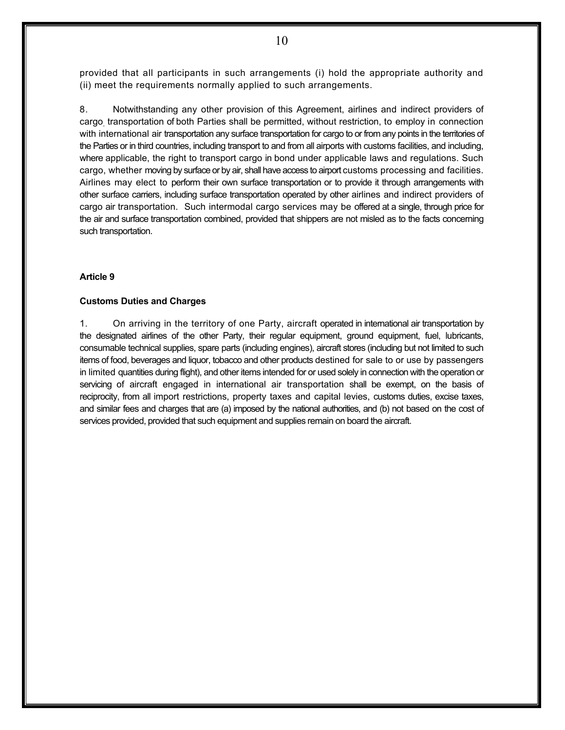provided that all participants in such arrangements (i) hold the appropriate authority and (ii) meet the requirements normally applied to such arrangements.

8. Notwithstanding any other provision of this Agreement, airlines and indirect providers of cargo, transportation of both Parties shall be permitted, without restriction, to employ in connection with international air transportation any surface transportation for cargo to or from any points in the territories of the Parties or in third countries, including transport to and from all airports with customs facilities, and including, where applicable, the right to transport cargo in bond under applicable laws and regulations. Such cargo, whether moving by surface or by air, shall have access to airport customs processing and facilities. Airlines may elect to perform their own surface transportation or to provide it through arrangements with other surface carriers, including surface transportation operated by other airlines and indirect providers of cargo air transportation. Such intermodal cargo services may be offered at a single, through price for the air and surface transportation combined, provided that shippers are not misled as to the facts concerning such transportation.

### **Article 9**

#### **Customs Duties and Charges**

1. On arriving in the territory of one Party, aircraft operated in international air transportation by the designated airlines of the other Party, their regular equipment, ground equipment, fuel, lubricants, consumable technical supplies, spare parts (including engines), aircraft stores (including but not limited to such items of food, beverages and liquor, tobacco and other products destined for sale to or use by passengers in limited quantities during flight), and other items intended for or used solely in connection with the operation or servicing of aircraft engaged in international air transportation shall be exempt, on the basis of reciprocity, from all import restrictions, property taxes and capital levies, customs duties, excise taxes, and similar fees and charges that are (a) imposed by the national authorities, and (b) not based on the cost of services provided, provided that such equipment and supplies remain on board the aircraft.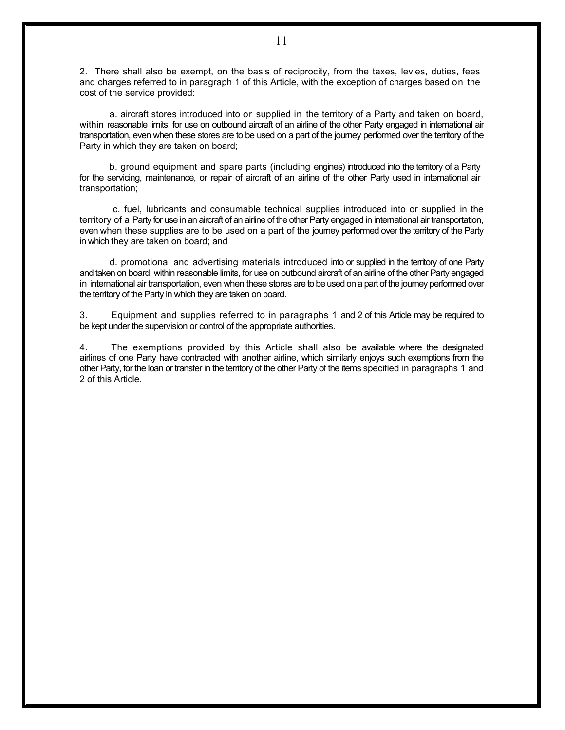2. There shall also be exempt, on the basis of reciprocity, from the taxes, levies, duties, fees and charges referred to in paragraph 1 of this Article, with the exception of charges based on the cost of the service provided:

a. aircraft stores introduced into or supplied in the territory of a Party and taken on board, within reasonable limits, for use on outbound aircraft of an airline of the other Party engaged in international air transportation, even when these stores are to be used on a part of the journey performed over the territory of the Party in which they are taken on board;

b. ground equipment and spare parts (including engines) introduced into the territory of a Party for the servicing, maintenance, or repair of aircraft of an airline of the other Party used in international air transportation;

c. fuel, lubricants and consumable technical supplies introduced into or supplied in the territory of a Party for use in an aircraft of an airline of the other Party engaged in international air transportation, even when these supplies are to be used on a part of the journey performed over the territory of the Party in which they are taken on board; and

d. promotional and advertising materials introduced into or supplied in the territory of one Party and taken on board, within reasonable limits, for use on outbound aircraft of an airline of the other Party engaged in international air transportation, even when these stores are to be used on a part of the journey performed over the territory of the Party in which they are taken on board.

3. Equipment and supplies referred to in paragraphs 1 and 2 of this Article may be required to be kept under the supervision or control of the appropriate authorities.

4. The exemptions provided by this Article shall also be available where the designated airlines of one Party have contracted with another airline, which similarly enjoys such exemptions from the other Party, for the loan or transfer in the territory of the other Party of the items specified in paragraphs 1 and 2 of this Article.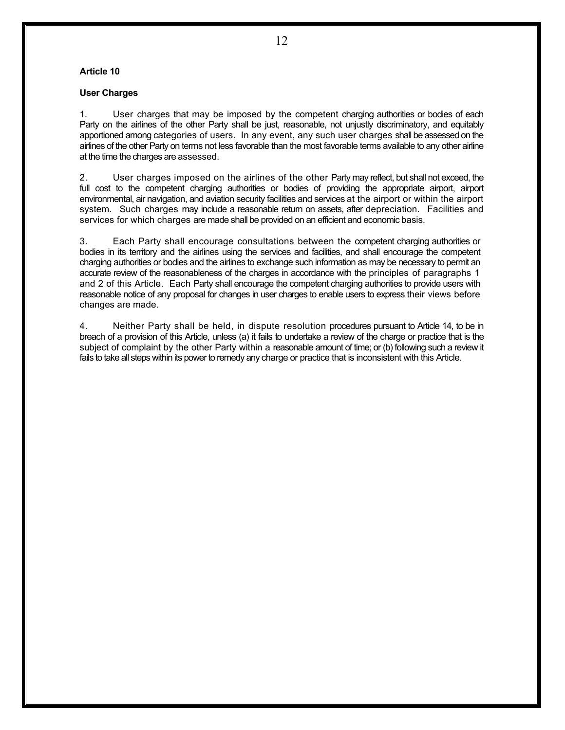#### **User Charges**

1. User charges that may be imposed by the competent charging authorities or bodies of each Party on the airlines of the other Party shall be just, reasonable, not unjustly discriminatory, and equitably apportioned among categories of users. In any event, any such user charges shall be assessed on the airlines of the other Party on terms not less favorable than the most favorable terms available to any other airline at the time the charges are assessed.

2. User charges imposed on the airlines of the other Party may reflect, but shall not exceed, the full cost to the competent charging authorities or bodies of providing the appropriate airport, airport environmental, air navigation, and aviation security facilities and services at the airport or within the airport system. Such charges may include a reasonable return on assets, after depreciation. Facilities and services for which charges are made shall be provided on an efficient and economic basis.

3. Each Party shall encourage consultations between the competent charging authorities or bodies in its territory and the airlines using the services and facilities, and shall encourage the competent charging authorities or bodies and the airlines to exchange such information as may be necessary to permit an accurate review of the reasonableness of the charges in accordance with the principles of paragraphs 1 and 2 of this Article. Each Party shall encourage the competent charging authorities to provide users with reasonable notice of any proposal for changes in user charges to enable users to express their views before changes are made.

4. Neither Party shall be held, in dispute resolution procedures pursuant to Article 14, to be in breach of a provision of this Article, unless (a) it fails to undertake a review of the charge or practice that is the subject of complaint by the other Party within a reasonable amount of time; or (b) following such a review it fails to take all steps within its power to remedy any charge or practice that is inconsistent with this Article.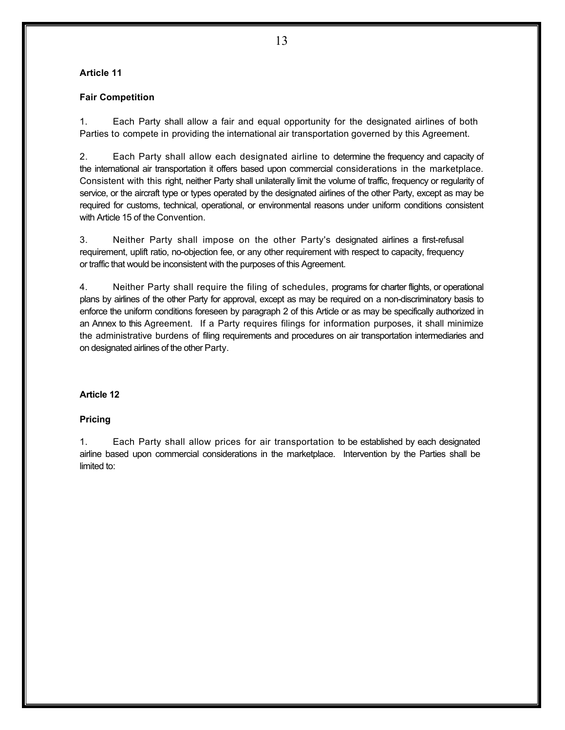## **Fair Competition**

1. Each Party shall allow a fair and equal opportunity for the designated airlines of both Parties to compete in providing the international air transportation governed by this Agreement.

2. Each Party shall allow each designated airline to determine the frequency and capacity of the international air transportation it offers based upon commercial considerations in the marketplace. Consistent with this right, neither Party shall unilaterally limit the volume of traffic, frequency or regularity of service, or the aircraft type or types operated by the designated airlines of the other Party, except as may be required for customs, technical, operational, or environmental reasons under uniform conditions consistent with Article 15 of the Convention.

3. Neither Party shall impose on the other Party's designated airlines a first-refusal requirement, uplift ratio, no-objection fee, or any other requirement with respect to capacity, frequency or traffic that would be inconsistent with the purposes of this Agreement.

4. Neither Party shall require the filing of schedules, programs for charter flights, or operational plans by airlines of the other Party for approval, except as may be required on a non-discriminatory basis to enforce the uniform conditions foreseen by paragraph 2 of this Article or as may be specifically authorized in an Annex to this Agreement. If a Party requires filings for information purposes, it shall minimize the administrative burdens of filing requirements and procedures on air transportation intermediaries and on designated airlines of the other Party.

### **Article 12**

## **Pricing**

1. Each Party shall allow prices for air transportation to be established by each designated airline based upon commercial considerations in the marketplace. Intervention by the Parties shall be limited to: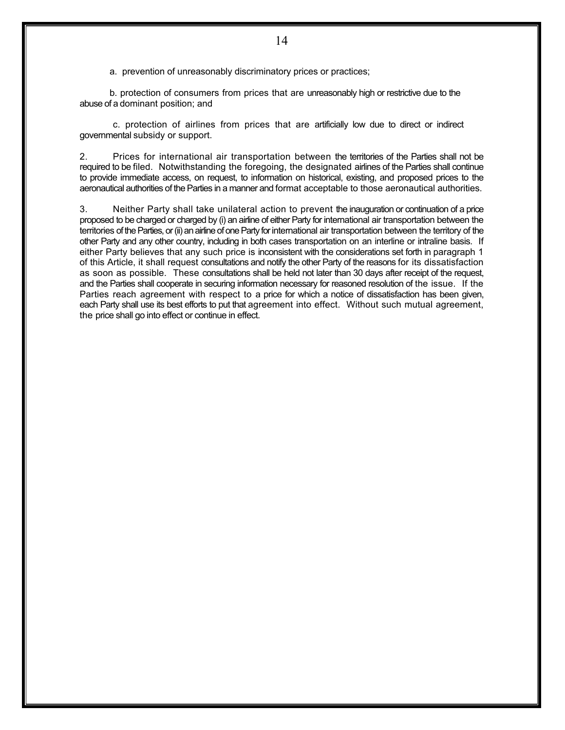a. prevention of unreasonably discriminatory prices or practices;

b. protection of consumers from prices that are unreasonably high or restrictive due to the abuse of a dominant position; and

c. protection of airlines from prices that are artificially low due to direct or indirect governmental subsidy or support.

2. Prices for international air transportation between the territories of the Parties shall not be required to be filed. Notwithstanding the foregoing, the designated airlines of the Parties shall continue to provide immediate access, on request, to information on historical, existing, and proposed prices to the aeronautical authorities of the Parties in a manner and format acceptable to those aeronautical authorities.

3. Neither Party shall take unilateral action to prevent the inauguration or continuation of a price proposed to be charged or charged by (i) an airline of either Party for international air transportation between the territories of the Parties, or (ii) an airline of one Party for international air transportation between the territory of the other Party and any other country, including in both cases transportation on an interline or intraline basis. If either Party believes that any such price is inconsistent with the considerations set forth in paragraph 1 of this Article, it shall request consultations and notify the other Party of the reasons for its dissatisfaction as soon as possible. These consultations shall be held not later than 30 days after receipt of the request, and the Parties shall cooperate in securing information necessary for reasoned resolution of the issue. If the Parties reach agreement with respect to a price for which a notice of dissatisfaction has been given, each Party shall use its best efforts to put that agreement into effect. Without such mutual agreement, the price shall go into effect or continue in effect.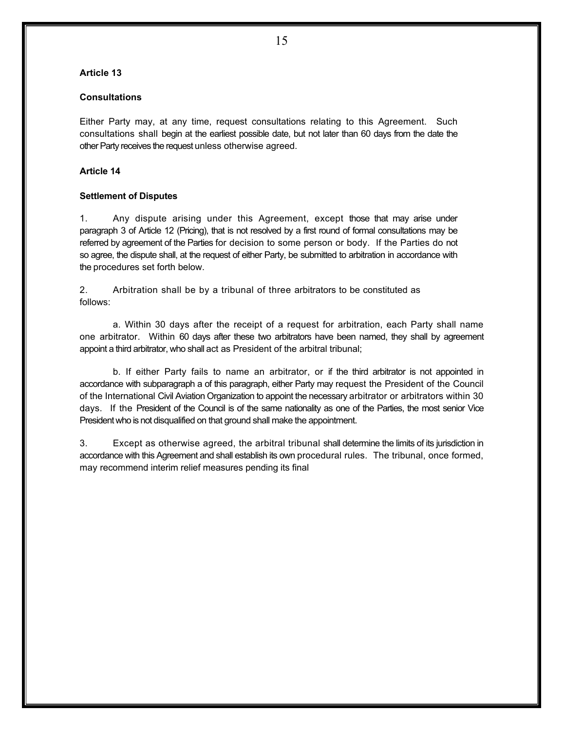### **Consultations**

Either Party may, at any time, request consultations relating to this Agreement. Such consultations shall begin at the earliest possible date, but not later than 60 days from the date the other Party receives the request unless otherwise agreed.

### **Article 14**

## **Settlement of Disputes**

1. Any dispute arising under this Agreement, except those that may arise under paragraph 3 of Article 12 (Pricing), that is not resolved by a first round of formal consultations may be referred by agreement of the Parties for decision to some person or body. If the Parties do not so agree, the dispute shall, at the request of either Party, be submitted to arbitration in accordance with the procedures set forth below.

2. Arbitration shall be by a tribunal of three arbitrators to be constituted as follows:

a. Within 30 days after the receipt of a request for arbitration, each Party shall name one arbitrator. Within 60 days after these two arbitrators have been named, they shall by agreement appoint a third arbitrator, who shall act as President of the arbitral tribunal;

b. If either Party fails to name an arbitrator, or if the third arbitrator is not appointed in accordance with subparagraph a of this paragraph, either Party may request the President of the Council of the International Civil Aviation Organization to appoint the necessary arbitrator or arbitrators within 30 days. If the President of the Council is of the same nationality as one of the Parties, the most senior Vice President who is not disqualified on that ground shall make the appointment.

3. Except as otherwise agreed, the arbitral tribunal shall determine the limits of its jurisdiction in accordance with this Agreement and shall establish its own procedural rules. The tribunal, once formed, may recommend interim relief measures pending its final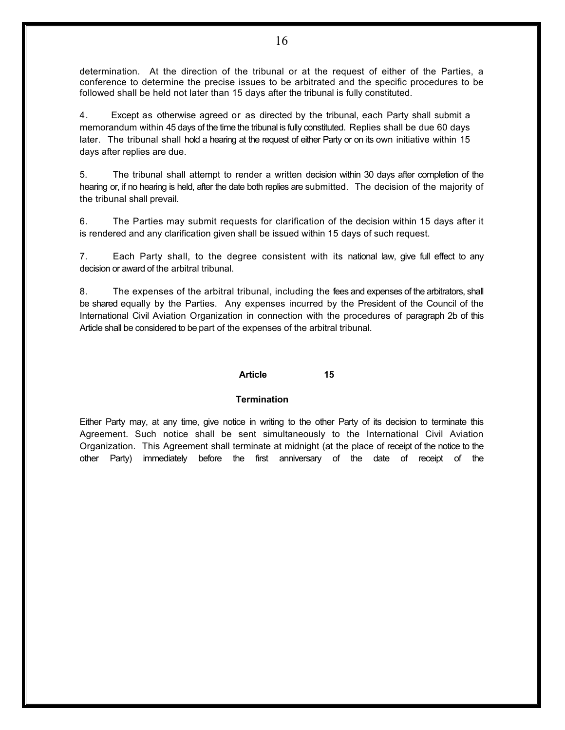determination. At the direction of the tribunal or at the request of either of the Parties, a conference to determine the precise issues to be arbitrated and the specific procedures to be followed shall be held not later than 15 days after the tribunal is fully constituted.

4. Except as otherwise agreed or as directed by the tribunal, each Party shall submit a memorandum within 45 days of the time the tribunal is fully constituted. Replies shall be due 60 days later. The tribunal shall hold a hearing at the request of either Party or on its own initiative within 15 days after replies are due.

5. The tribunal shall attempt to render a written decision within 30 days after completion of the hearing or, if no hearing is held, after the date both replies are submitted. The decision of the majority of the tribunal shall prevail.

6. The Parties may submit requests for clarification of the decision within 15 days after it is rendered and any clarification given shall be issued within 15 days of such request.

7. Each Party shall, to the degree consistent with its national law, give full effect to any decision or award of the arbitral tribunal.

8. The expenses of the arbitral tribunal, including the fees and expenses of the arbitrators, shall be shared equally by the Parties. Any expenses incurred by the President of the Council of the International Civil Aviation Organization in connection with the procedures of paragraph 2b of this Article shall be considered to be part of the expenses of the arbitral tribunal.

## **Article 15**

### **Termination**

Either Party may, at any time, give notice in writing to the other Party of its decision to terminate this Agreement. Such notice shall be sent simultaneously to the International Civil Aviation Organization. This Agreement shall terminate at midnight (at the place of receipt of the notice to the other Party) immediately before the first anniversary of the date of receipt of the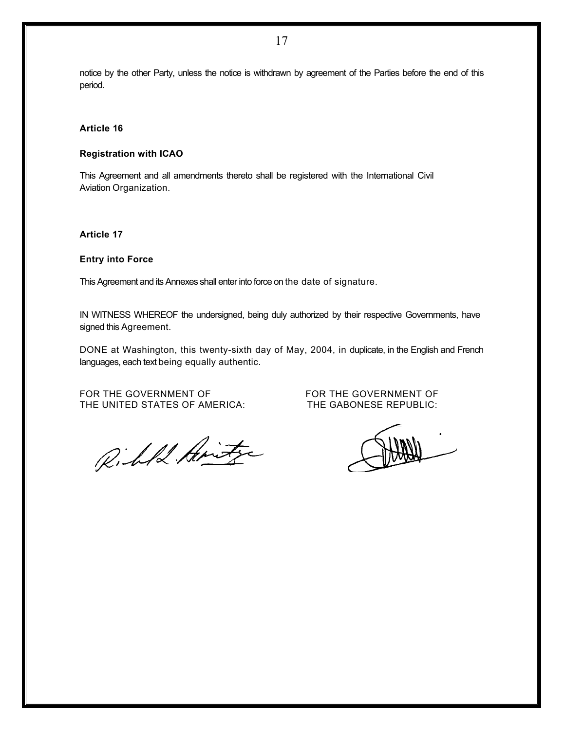notice by the other Party, unless the notice is withdrawn by agreement of the Parties before the end of this period.

## **Article 16**

#### **Registration with ICAO**

This Agreement and all amendments thereto shall be registered with the International Civil Aviation Organization.

### **Article 17**

#### **Entry into Force**

This Agreement and its Annexes shall enter into force on the date of signature.

IN WITNESS WHEREOF the undersigned, being duly authorized by their respective Governments, have signed this Agreement.

DONE at Washington, this twenty-sixth day of May, 2004, in duplicate, in the English and French languages, each text being equally authentic.

FOR THE GOVERNMENT OF FOR THE GOVERNMENT OF THE UNITED STATES OF AMERICA: THE GABONESE REPUBLIC:

Ribble Aringe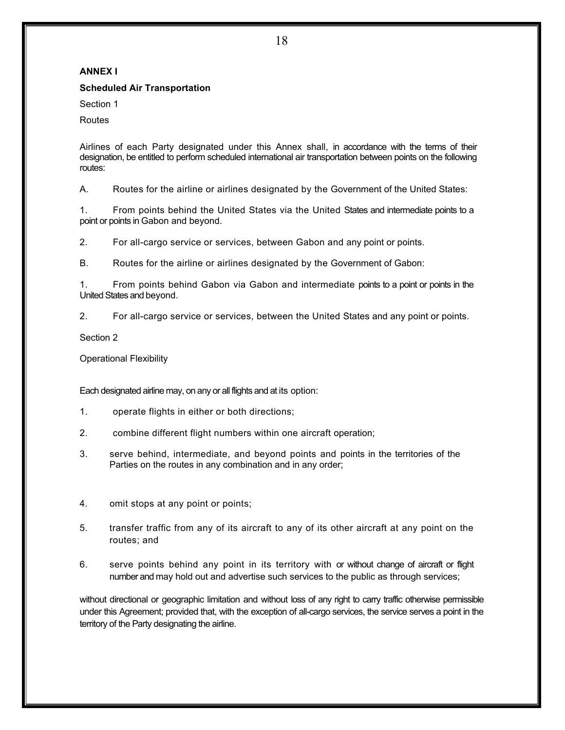## **ANNEX I**

### **Scheduled Air Transportation**

Section 1

**Routes** 

Airlines of each Party designated under this Annex shall, in accordance with the terms of their designation, be entitled to perform scheduled international air transportation between points on the following routes:

A. Routes for the airline or airlines designated by the Government of the United States:

1. From points behind the United States via the United States and intermediate points to a point or points in Gabon and beyond.

2. For all-cargo service or services, between Gabon and any point or points.

B. Routes for the airline or airlines designated by the Government of Gabon:

1. From points behind Gabon via Gabon and intermediate points to a point or points in the United States and beyond.

2. For all-cargo service or services, between the United States and any point or points.

Section 2

Operational Flexibility

Each designated airline may, on any or all flights and at its option:

- 1. operate flights in either or both directions;
- 2. combine different flight numbers within one aircraft operation;
- 3. serve behind, intermediate, and beyond points and points in the territories of the Parties on the routes in any combination and in any order;
- 4. omit stops at any point or points;
- 5. transfer traffic from any of its aircraft to any of its other aircraft at any point on the routes; and
- 6. serve points behind any point in its territory with or without change of aircraft or flight number and may hold out and advertise such services to the public as through services;

without directional or geographic limitation and without loss of any right to carry traffic otherwise permissible under this Agreement; provided that, with the exception of all-cargo services, the service serves a point in the territory of the Party designating the airline.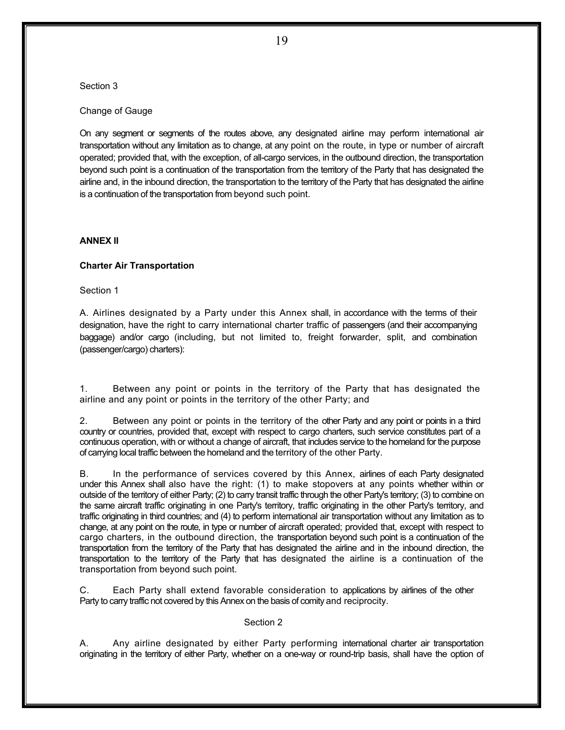### Section 3

### Change of Gauge

On any segment or segments of the routes above, any designated airline may perform international air transportation without any limitation as to change, at any point on the route, in type or number of aircraft operated; provided that, with the exception, of all-cargo services, in the outbound direction, the transportation beyond such point is a continuation of the transportation from the territory of the Party that has designated the airline and, in the inbound direction, the transportation to the territory of the Party that has designated the airline is a continuation of the transportation from beyond such point.

### **ANNEX II**

## **Charter Air Transportation**

Section 1

A. Airlines designated by a Party under this Annex shall, in accordance with the terms of their designation, have the right to carry international charter traffic of passengers (and their accompanying baggage) and/or cargo (including, but not limited to, freight forwarder, split, and combination (passenger/cargo) charters):

1. Between any point or points in the territory of the Party that has designated the airline and any point or points in the territory of the other Party; and

2. Between any point or points in the territory of the other Party and any point or points in a third country or countries, provided that, except with respect to cargo charters, such service constitutes part of a continuous operation, with or without a change of aircraft, that includes service to the homeland for the purpose of carrying local traffic between the homeland and the territory of the other Party.

B. In the performance of services covered by this Annex, airlines of each Party designated under this Annex shall also have the right: (1) to make stopovers at any points whether within or outside of the territory of either Party; (2) to carry transit traffic through the other Party's territory; (3) to combine on the same aircraft traffic originating in one Party's territory, traffic originating in the other Party's territory, and traffic originating in third countries; and (4) to perform international air transportation without any limitation as to change, at any point on the route, in type or number of aircraft operated; provided that, except with respect to cargo charters, in the outbound direction, the transportation beyond such point is a continuation of the transportation from the territory of the Party that has designated the airline and in the inbound direction, the transportation to the territory of the Party that has designated the airline is a continuation of the transportation from beyond such point.

C. Each Party shall extend favorable consideration to applications by airlines of the other Party to carry traffic not covered by this Annex on the basis of comity and reciprocity.

#### Section 2

A. Any airline designated by either Party performing international charter air transportation originating in the territory of either Party, whether on a one-way or round-trip basis, shall have the option of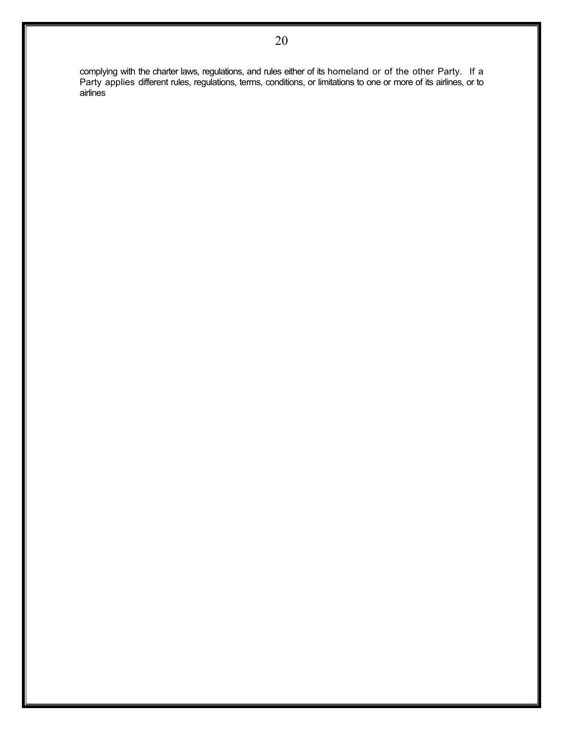complying with the charter laws, regulations, and rules either of its homeland or of the other Party. If a Party applies different rules, regulations, terms, conditions, or limitations to one or more of its airlines, or to airlines